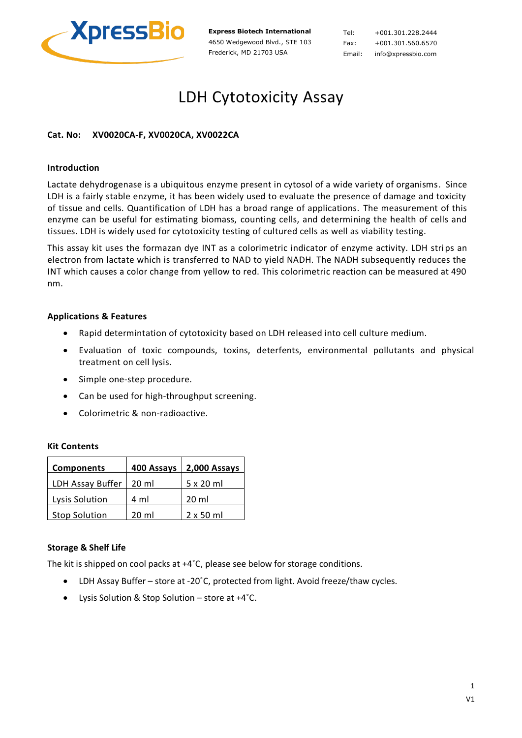

**Express Biotech International** 4650 Wedgewood Blvd., STE 103 Frederick, MD 21703 USA

Tel: +001.301.228.2444 Fax: +001.301.560.6570 Email: info@xpressbio.com

# LDH Cytotoxicity Assay

# **Cat. No: XV0020CA-F, XV0020CA, XV0022CA**

# **Introduction**

Lactate dehydrogenase is a ubiquitous enzyme present in cytosol of a wide variety of organisms. Since LDH is a fairly stable enzyme, it has been widely used to evaluate the presence of damage and toxicity of tissue and cells. Quantification of LDH has a broad range of applications. The measurement of this enzyme can be useful for estimating biomass, counting cells, and determining the health of cells and tissues. LDH is widely used for cytotoxicity testing of cultured cells as well as viability testing.

This assay kit uses the formazan dye INT as a colorimetric indicator of enzyme activity. LDH strips an electron from lactate which is transferred to NAD to yield NADH. The NADH subsequently reduces the INT which causes a color change from yellow to red. This colorimetric reaction can be measured at 490 nm.

# **Applications & Features**

- Rapid determintation of cytotoxicity based on LDH released into cell culture medium.
- Evaluation of toxic compounds, toxins, deterfents, environmental pollutants and physical treatment on cell lysis.
- Simple one-step procedure.
- Can be used for high-throughput screening.
- Colorimetric & non-radioactive.

#### **Kit Contents**

| <b>Components</b>    | 400 Assays      | 2,000 Assays     |
|----------------------|-----------------|------------------|
| LDH Assay Buffer     | $20 \text{ ml}$ | $5 \times 20$ ml |
| Lysis Solution       | 4 ml            | 20 ml            |
| <b>Stop Solution</b> | 20 ml           | $2 \times 50$ ml |

#### **Storage & Shelf Life**

The kit is shipped on cool packs at +4˚C, please see below for storage conditions.

- LDH Assay Buffer store at -20˚C, protected from light. Avoid freeze/thaw cycles.
- Lysis Solution & Stop Solution store at +4˚C.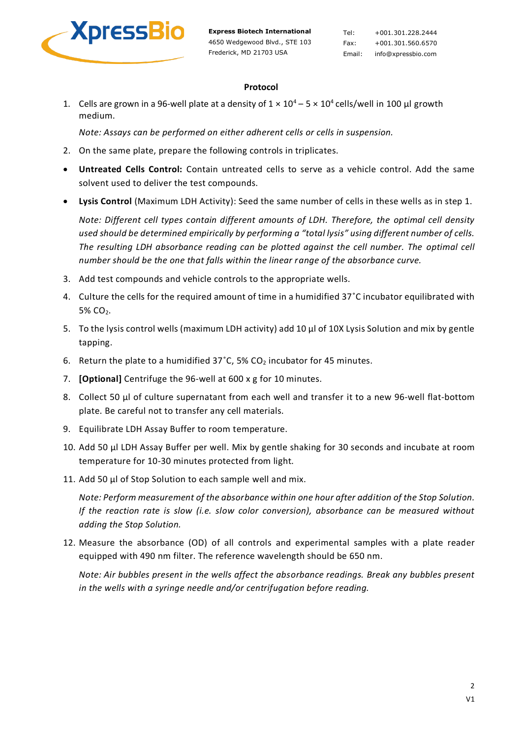

Tel: +001.301.228.2444 Fax: +001.301.560.6570 Email: info@xpressbio.com

# **Protocol**

1. Cells are grown in a 96-well plate at a density of  $1 \times 10^4$  – 5  $\times$  10<sup>4</sup> cells/well in 100 µl growth medium.

*Note: Assays can be performed on either adherent cells or cells in suspension.*

- 2. On the same plate, prepare the following controls in triplicates.
- **Untreated Cells Control:** Contain untreated cells to serve as a vehicle control. Add the same solvent used to deliver the test compounds.
- **Lysis Control** (Maximum LDH Activity): Seed the same number of cells in these wells as in step 1.

*Note: Different cell types contain different amounts of LDH. Therefore, the optimal cell density used should be determined empirically by performing a "total lysis" using different number of cells. The resulting LDH absorbance reading can be plotted against the cell number. The optimal cell number should be the one that falls within the linear range of the absorbance curve.*

- 3. Add test compounds and vehicle controls to the appropriate wells.
- 4. Culture the cells for the required amount of time in a humidified 37˚C incubator equilibrated with 5% CO2.
- 5. To the lysis control wells (maximum LDH activity) add 10 μl of 10X Lysis Solution and mix by gentle tapping.
- 6. Return the plate to a humidified  $37^{\circ}$ C, 5% CO<sub>2</sub> incubator for 45 minutes.
- 7. **[Optional]** Centrifuge the 96-well at 600 x g for 10 minutes.
- 8. Collect 50 μl of culture supernatant from each well and transfer it to a new 96-well flat-bottom plate. Be careful not to transfer any cell materials.
- 9. Equilibrate LDH Assay Buffer to room temperature.
- 10. Add 50 μl LDH Assay Buffer per well. Mix by gentle shaking for 30 seconds and incubate at room temperature for 10-30 minutes protected from light.
- 11. Add 50 μl of Stop Solution to each sample well and mix.

*Note: Perform measurement of the absorbance within one hour after addition of the Stop Solution. If the reaction rate is slow (i.e. slow color conversion), absorbance can be measured without adding the Stop Solution.*

12. Measure the absorbance (OD) of all controls and experimental samples with a plate reader equipped with 490 nm filter. The reference wavelength should be 650 nm.

*Note: Air bubbles present in the wells affect the absorbance readings. Break any bubbles present in the wells with a syringe needle and/or centrifugation before reading.*